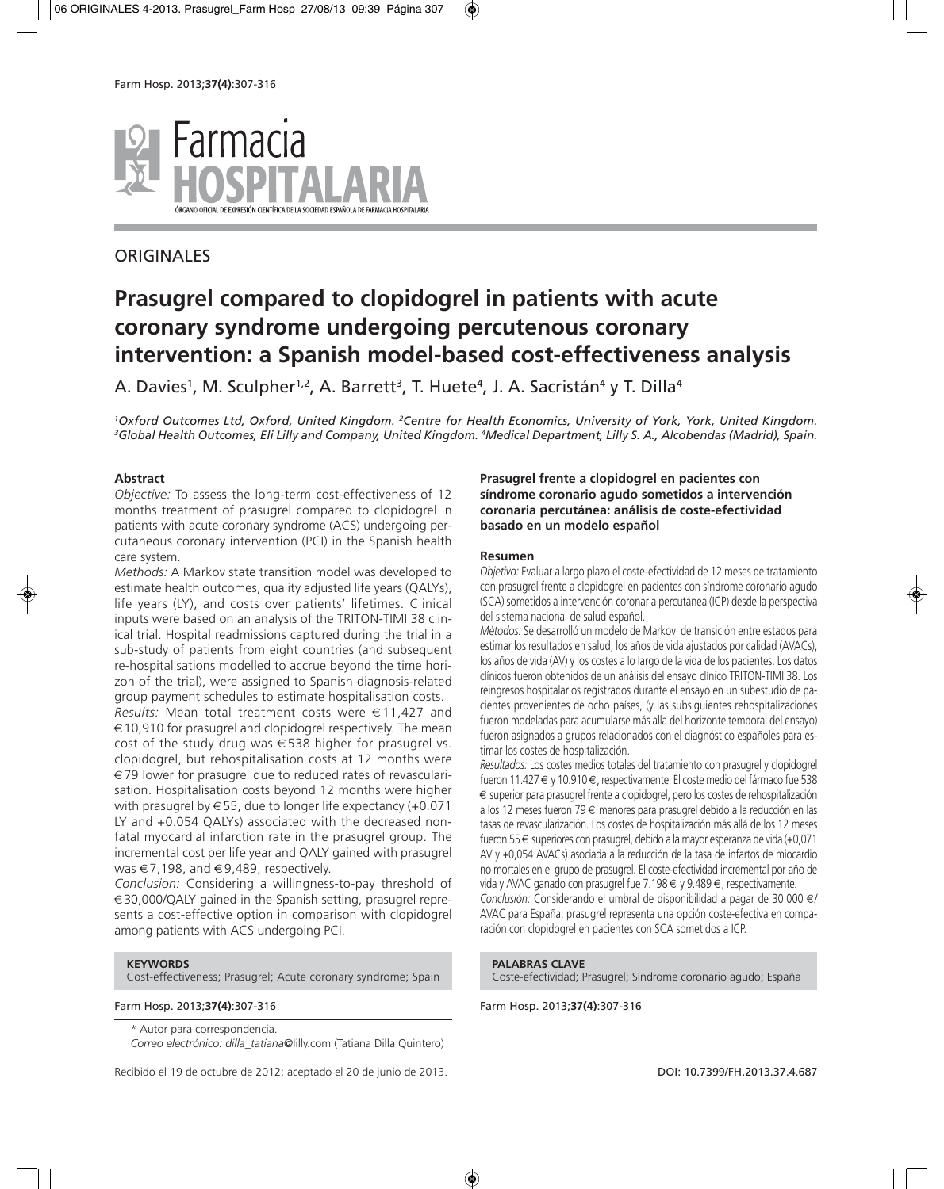

## **ORIGINALES**

# **Prasugrel compared to clopidogrel in patients with acute coronary syndrome undergoing percutenous coronary intervention: a Spanish model-based cost-effectiveness analysis**

A. Davies<sup>1</sup>, M. Sculpher<sup>1,2</sup>, A. Barrett<sup>3</sup>, T. Huete<sup>4</sup>, J. A. Sacristán<sup>4</sup> y T. Dilla<sup>4</sup>

*1Oxford Outcomes Ltd, Oxford, United Kingdom. 2Centre for Health Economics, University of York, York, United Kingdom. 3Global Health Outcomes, Eli Lilly and Company, United Kingdom. 4Medical Department, Lilly S. A., Alcobendas (Madrid), Spain.*

#### **Abstract**

*Objective:* To assess the long-term cost-effectiveness of 12 months treatment of prasugrel compared to clopidogrel in patients with acute coronary syndrome (ACS) undergoing percutaneous coronary intervention (PCI) in the Spanish health care system.

*Methods:* A Markov state transition model was developed to estimate health outcomes, quality adjusted life years (QALYs), life years (LY), and costs over patients' lifetimes. Clinical inputs were based on an analysis of the TRITON-TIMI 38 clinical trial. Hospital readmissions captured during the trial in a sub-study of patients from eight countries (and subsequent re-hospitalisations modelled to accrue beyond the time horizon of the trial), were assigned to Spanish diagnosis-related group payment schedules to estimate hospitalisation costs.

*Results:* Mean total treatment costs were €11,427 and  $\epsilon$  10,910 for prasugrel and clopidogrel respectively. The mean cost of the study drug was  $\in$  538 higher for prasugrel vs. clopidogrel, but rehospitalisation costs at 12 months were €79 lower for prasugrel due to reduced rates of revascularisation. Hospitalisation costs beyond 12 months were higher with prasugrel by  $\in$  55, due to longer life expectancy (+0.071 LY and +0.054 QALYs) associated with the decreased nonfatal myocardial infarction rate in the prasugrel group. The incremental cost per life year and QALY gained with prasugrel was  $\in$  7,198, and  $\in$  9,489, respectively.

*Conclusion:* Considering a willingness-to-pay threshold of €30,000/QALY gained in the Spanish setting, prasugrel represents a cost-effective option in comparison with clopidogrel among patients with ACS undergoing PCI.

#### **KEYWORDS**

Cost-effectiveness; Prasugrel; Acute coronary syndrome; Spain

#### Farm Hosp. 2013;**37(4)**:307-316 Farm Hosp. 2013;**37(4)**:307-316

\* Autor para correspondencia.

*Correo electrónico: dilla\_tatiana*@lilly.com (Tatiana Dilla Quintero)

Recibido el 19 de octubre de 2012; aceptado el 20 de junio de 2013. DOI: 10.7399/FH.2013.37.4.687

#### **Prasugrel frente a clopidogrel en pacientes con síndrome coronario agudo sometidos a intervención coronaria percutánea: análisis de coste-efectividad basado en un modelo español**

#### **Resumen**

*Objetivo:* Evaluar a largo plazo el coste-efectividad de 12 meses de tratamiento con prasugrel frente a clopidogrel en pacientes con síndrome coronario agudo (SCA) sometidos a intervención coronaria percutánea (ICP) desde la perspectiva del sistema nacional de salud español.

*Métodos:* Se desarrolló un modelo de Markov de transición entre estados para estimar los resultados en salud, los años de vida ajustados por calidad (AVACs), los años de vida (AV) y los costes a lo largo de la vida de los pacientes. Los datos clínicos fueron obtenidos de un análisis del ensayo clínico TRITON-TIMI 38. Los reingresos hospitalarios registrados durante el ensayo en un subestudio de pacientes provenientes de ocho países, (y las subsiguientes rehospitalizaciones fueron modeladas para acumularse más alla del horizonte temporal del ensayo) fueron asignados a grupos relacionados con el diagnóstico españoles para estimar los costes de hospitalización.

*Resultados:* Los costes medios totales del tratamiento con prasugrel y clopidogrel fueron 11.427 € y 10.910 €, respectivamente. El coste medio del fármaco fue 538 € superior para prasugrel frente a clopidogrel, pero los costes de rehospitalización a los 12 meses fueron 79 € menores para prasugrel debido a la reducción en las tasas de revascularización. Los costes de hospitalización más allá de los 12 meses fueron 55 € superiores con prasugrel, debido a la mayor esperanza de vida (+0,071 AV y +0,054 AVACs) asociada a la reducción de la tasa de infartos de miocardio no mortales en el grupo de prasugrel. El coste-efectividad incremental por año de vida y AVAC ganado con prasugrel fue 7.198 € y 9.489 €, respectivamente. *Conclusión:* Considerando el umbral de disponibilidad a pagar de 30.000 €/ AVAC para España, prasugrel representa una opción coste-efectiva en comparación con clopidogrel en pacientes con SCA sometidos a ICP.

## **PALABRAS CLAVE**

Coste-efectividad; Prasugrel; Síndrome coronario agudo; España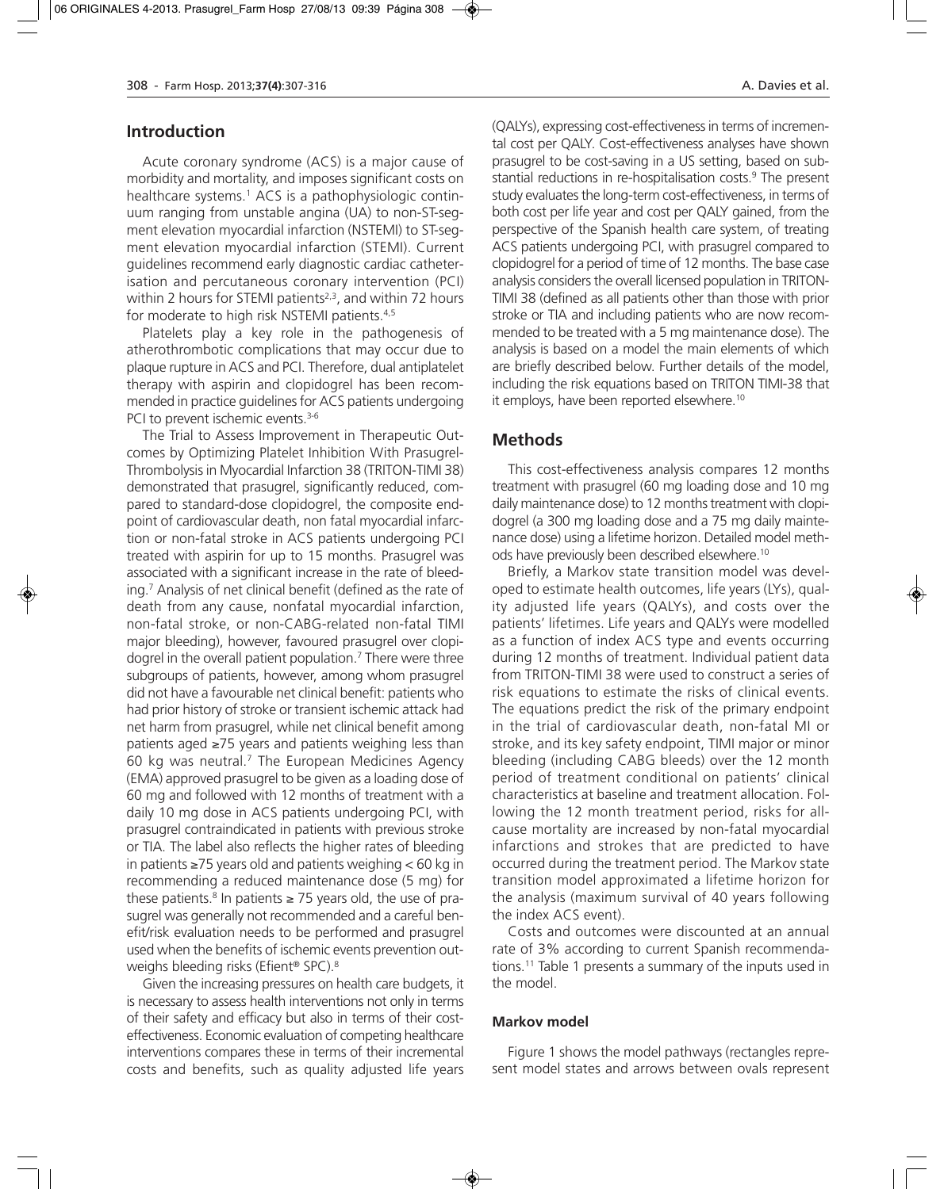## **Introduction**

Acute coronary syndrome (ACS) is a major cause of morbidity and mortality, and imposes significant costs on healthcare systems.<sup>1</sup> ACS is a pathophysiologic continuum ranging from unstable angina (UA) to non-ST-segment elevation myocardial infarction (NSTEMI) to ST-segment elevation myocardial infarction (STEMI). Current guidelines recommend early diagnostic cardiac catheterisation and percutaneous coronary intervention (PCI) within 2 hours for STEMI patients<sup> $2,3$ </sup>, and within 72 hours for moderate to high risk NSTEMI patients.4,5

Platelets play a key role in the pathogenesis of atherothrombotic complications that may occur due to plaque rupture in ACS and PCI. Therefore, dual antiplatelet therapy with aspirin and clopidogrel has been recommended in practice guidelines for ACS patients undergoing PCI to prevent ischemic events.<sup>3-6</sup>

The Trial to Assess Improvement in Therapeutic Outcomes by Optimizing Platelet Inhibition With Prasugrel-Thrombolysis in Myocardial Infarction 38 (TRITON-TIMI 38) demonstrated that prasugrel, significantly reduced, compared to standard-dose clopidogrel, the composite endpoint of cardiovascular death, non fatal myocardial infarction or non-fatal stroke in ACS patients undergoing PCI treated with aspirin for up to 15 months. Prasugrel was associated with a significant increase in the rate of bleeding.7 Analysis of net clinical benefit (defined as the rate of death from any cause, nonfatal myocardial infarction, non-fatal stroke, or non-CABG-related non-fatal TIMI major bleeding), however, favoured prasugrel over clopidogrel in the overall patient population.<sup>7</sup> There were three subgroups of patients, however, among whom prasugrel did not have a favourable net clinical benefit: patients who had prior history of stroke or transient ischemic attack had net harm from prasugrel, while net clinical benefit among patients aged ≥75 years and patients weighing less than 60 kg was neutral.<sup>7</sup> The European Medicines Agency (EMA) approved prasugrel to be given as a loading dose of 60 mg and followed with 12 months of treatment with a daily 10 mg dose in ACS patients undergoing PCI, with prasugrel contraindicated in patients with previous stroke or TIA. The label also reflects the higher rates of bleeding in patients ≥75 years old and patients weighing < 60 kg in recommending a reduced maintenance dose (5 mg) for these patients.<sup>8</sup> In patients  $\geq$  75 years old, the use of prasugrel was generally not recommended and a careful benefit/risk evaluation needs to be performed and prasugrel used when the benefits of ischemic events prevention outweighs bleeding risks (Efient® SPC).8

Given the increasing pressures on health care budgets, it is necessary to assess health interventions not only in terms of their safety and efficacy but also in terms of their costeffectiveness. Economic evaluation of competing healthcare interventions compares these in terms of their incremental costs and benefits, such as quality adjusted life years (QALYs), expressing cost-effectiveness in terms of incremental cost per QALY. Cost-effectiveness analyses have shown prasugrel to be cost-saving in a US setting, based on substantial reductions in re-hospitalisation costs.<sup>9</sup> The present study evaluates the long-term cost-effectiveness, in terms of both cost per life year and cost per QALY gained, from the perspective of the Spanish health care system, of treating ACS patients undergoing PCI, with prasugrel compared to clopidogrel for a period of time of 12 months. The base case analysis considers the overall licensed population in TRITON-TIMI 38 (defined as all patients other than those with prior stroke or TIA and including patients who are now recommended to be treated with a 5 mg maintenance dose). The analysis is based on a model the main elements of which are briefly described below. Further details of the model, including the risk equations based on TRITON TIMI-38 that it employs, have been reported elsewhere.10

## **Methods**

This cost-effectiveness analysis compares 12 months treatment with prasugrel (60 mg loading dose and 10 mg daily maintenance dose) to 12 months treatment with clopidogrel (a 300 mg loading dose and a 75 mg daily maintenance dose) using a lifetime horizon. Detailed model methods have previously been described elsewhere.10

Briefly, a Markov state transition model was developed to estimate health outcomes, life years (LYs), quality adjusted life years (QALYs), and costs over the patients' lifetimes. Life years and QALYs were modelled as a function of index ACS type and events occurring during 12 months of treatment. Individual patient data from TRITON-TIMI 38 were used to construct a series of risk equations to estimate the risks of clinical events. The equations predict the risk of the primary endpoint in the trial of cardiovascular death, non-fatal MI or stroke, and its key safety endpoint, TIMI major or minor bleeding (including CABG bleeds) over the 12 month period of treatment conditional on patients' clinical characteristics at baseline and treatment allocation. Following the 12 month treatment period, risks for allcause mortality are increased by non-fatal myocardial infarctions and strokes that are predicted to have occurred during the treatment period. The Markov state transition model approximated a lifetime horizon for the analysis (maximum survival of 40 years following the index ACS event).

Costs and outcomes were discounted at an annual rate of 3% according to current Spanish recommendations.11 Table 1 presents a summary of the inputs used in the model.

#### **Markov model**

Figure 1 shows the model pathways (rectangles represent model states and arrows between ovals represent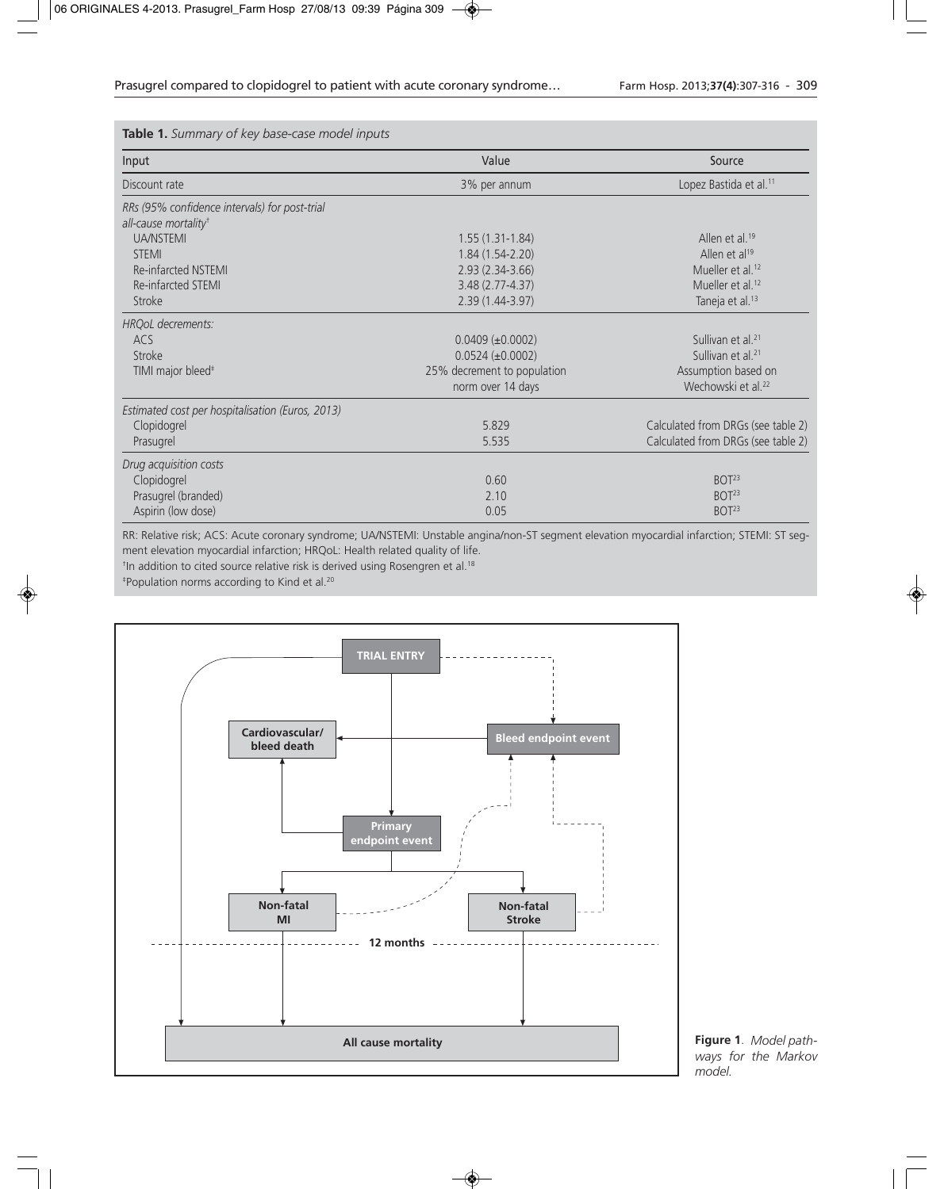**Table 1.** *Summary of key base-case model inputs*

| Input                                            | Value                       | Source                             |  |  |
|--------------------------------------------------|-----------------------------|------------------------------------|--|--|
| Discount rate                                    | 3% per annum                | Lopez Bastida et al. <sup>11</sup> |  |  |
| RRs (95% confidence intervals) for post-trial    |                             |                                    |  |  |
| all-cause mortality <sup>t</sup>                 |                             |                                    |  |  |
| <b>UA/NSTEMI</b>                                 | $1.55(1.31-1.84)$           | Allen et al. <sup>19</sup>         |  |  |
| <b>STEMI</b>                                     | $1.84(1.54-2.20)$           | Allen et al <sup>19</sup>          |  |  |
| Re-infarcted NSTEMI                              | $2.93(2.34-3.66)$           | Mueller et al. <sup>12</sup>       |  |  |
| Re-infarcted STEMI                               | $3.48(2.77 - 4.37)$         | Mueller et al. <sup>12</sup>       |  |  |
| Stroke                                           | 2.39 (1.44-3.97)            | Taneja et al. <sup>13</sup>        |  |  |
| HROoL decrements:                                |                             |                                    |  |  |
| ACS                                              | $0.0409 \ (\pm 0.0002)$     | Sullivan et al. <sup>21</sup>      |  |  |
| Stroke                                           | $0.0524 (\pm 0.0002)$       | Sullivan et al. <sup>21</sup>      |  |  |
| TIMI major bleed <sup>#</sup>                    | 25% decrement to population | Assumption based on                |  |  |
|                                                  | norm over 14 days           | Wechowski et al. <sup>22</sup>     |  |  |
| Estimated cost per hospitalisation (Euros, 2013) |                             |                                    |  |  |
| Clopidogrel                                      | 5.829                       | Calculated from DRGs (see table 2) |  |  |
| Prasugrel                                        | 5.535                       | Calculated from DRGs (see table 2) |  |  |
| Drug acquisition costs                           |                             |                                    |  |  |
| Clopidogrel                                      | 0.60                        | BOT <sup>23</sup>                  |  |  |
| Prasugrel (branded)                              | 2.10                        | BOT <sup>23</sup>                  |  |  |
| Aspirin (low dose)                               | 0.05                        | BOT <sup>23</sup>                  |  |  |

RR: Relative risk; ACS: Acute coronary syndrome; UA/NSTEMI: Unstable angina/non-ST segment elevation myocardial infarction; STEMI: ST segment elevation myocardial infarction; HRQoL: Health related quality of life.

<sup>†</sup>In addition to cited source relative risk is derived using Rosengren et al.<sup>18</sup>

‡Population norms according to Kind et al.20



**Figure 1**. *Model pathways for the Markov model.*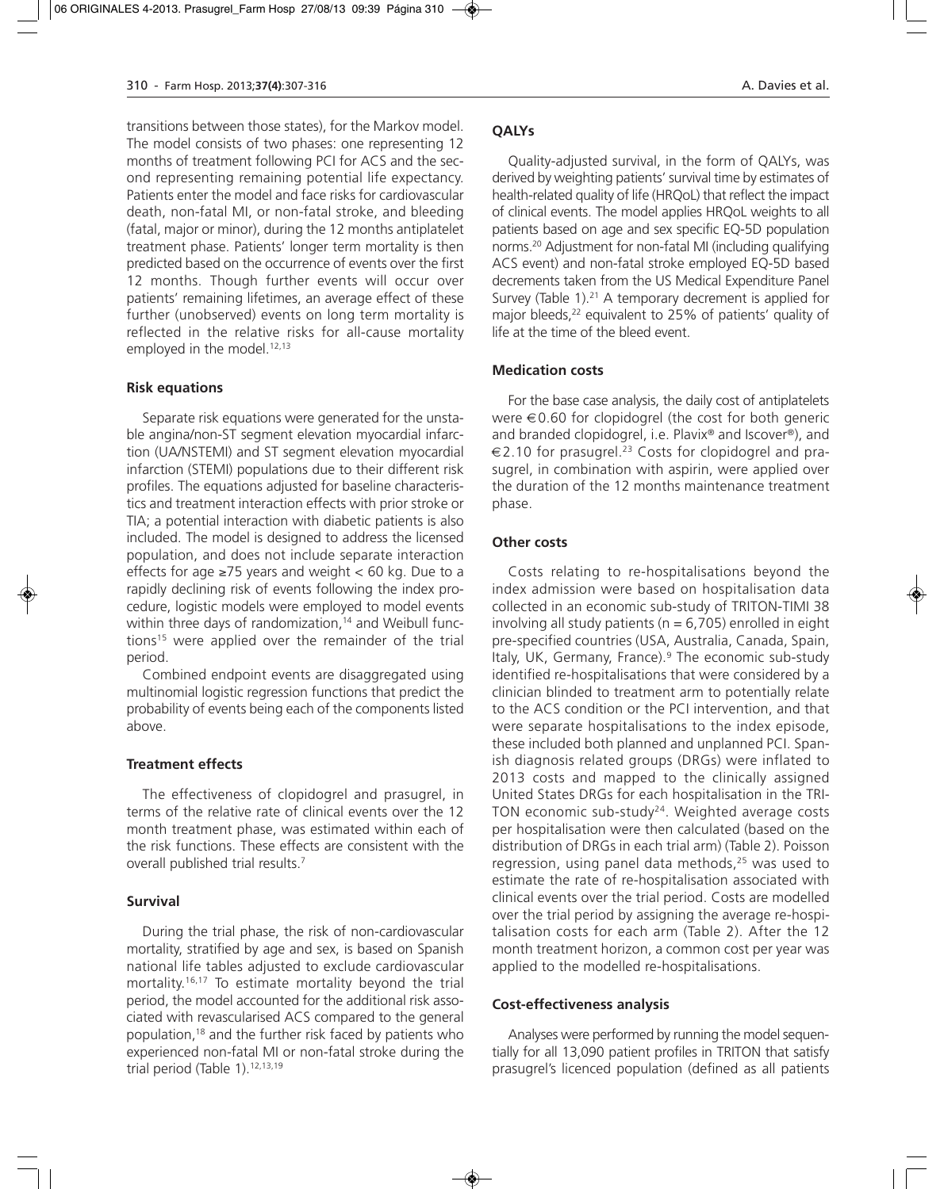transitions between those states), for the Markov model. The model consists of two phases: one representing 12 months of treatment following PCI for ACS and the second representing remaining potential life expectancy. Patients enter the model and face risks for cardiovascular death, non-fatal MI, or non-fatal stroke, and bleeding (fatal, major or minor), during the 12 months antiplatelet treatment phase. Patients' longer term mortality is then predicted based on the occurrence of events over the first 12 months. Though further events will occur over patients' remaining lifetimes, an average effect of these further (unobserved) events on long term mortality is reflected in the relative risks for all-cause mortality employed in the model.<sup>12,13</sup>

#### **Risk equations**

Separate risk equations were generated for the unstable angina/non-ST segment elevation myocardial infarction (UA/NSTEMI) and ST segment elevation myocardial infarction (STEMI) populations due to their different risk profiles. The equations adjusted for baseline characteristics and treatment interaction effects with prior stroke or TIA; a potential interaction with diabetic patients is also included. The model is designed to address the licensed population, and does not include separate interaction effects for age  $\geq$ 75 years and weight < 60 kg. Due to a rapidly declining risk of events following the index procedure, logistic models were employed to model events within three days of randomization,<sup>14</sup> and Weibull functions<sup>15</sup> were applied over the remainder of the trial period.

Combined endpoint events are disaggregated using multinomial logistic regression functions that predict the probability of events being each of the components listed above.

#### **Treatment effects**

The effectiveness of clopidogrel and prasugrel, in terms of the relative rate of clinical events over the 12 month treatment phase, was estimated within each of the risk functions. These effects are consistent with the overall published trial results.7

#### **Survival**

During the trial phase, the risk of non-cardiovascular mortality, stratified by age and sex, is based on Spanish national life tables adjusted to exclude cardiovascular mortality.16,17 To estimate mortality beyond the trial period, the model accounted for the additional risk associated with revascularised ACS compared to the general population,18 and the further risk faced by patients who experienced non-fatal MI or non-fatal stroke during the trial period (Table 1).<sup>12,13,19</sup>

## **QALYs**

Quality-adjusted survival, in the form of QALYs, was derived by weighting patients' survival time by estimates of health-related quality of life (HRQoL) that reflect the impact of clinical events. The model applies HRQoL weights to all patients based on age and sex specific EQ-5D population norms.20 Adjustment for non-fatal MI (including qualifying ACS event) and non-fatal stroke employed EQ-5D based decrements taken from the US Medical Expenditure Panel Survey (Table 1).<sup>21</sup> A temporary decrement is applied for major bleeds,<sup>22</sup> equivalent to 25% of patients' quality of life at the time of the bleed event.

#### **Medication costs**

For the base case analysis, the daily cost of antiplatelets were €0.60 for clopidogrel (the cost for both generic and branded clopidogrel, i.e. Plavix® and Iscover®), and €2.10 for prasugrel.23 Costs for clopidogrel and prasugrel, in combination with aspirin, were applied over the duration of the 12 months maintenance treatment phase.

#### **Other costs**

Costs relating to re-hospitalisations beyond the index admission were based on hospitalisation data collected in an economic sub-study of TRITON-TIMI 38 involving all study patients ( $n = 6,705$ ) enrolled in eight pre-specified countries (USA, Australia, Canada, Spain, Italy, UK, Germany, France).<sup>9</sup> The economic sub-study identified re-hospitalisations that were considered by a clinician blinded to treatment arm to potentially relate to the ACS condition or the PCI intervention, and that were separate hospitalisations to the index episode, these included both planned and unplanned PCI. Spanish diagnosis related groups (DRGs) were inflated to 2013 costs and mapped to the clinically assigned United States DRGs for each hospitalisation in the TRI-TON economic sub-study<sup>24</sup>. Weighted average costs per hospitalisation were then calculated (based on the distribution of DRGs in each trial arm) (Table 2). Poisson regression, using panel data methods, $25$  was used to estimate the rate of re-hospitalisation associated with clinical events over the trial period. Costs are modelled over the trial period by assigning the average re-hospitalisation costs for each arm (Table 2). After the 12 month treatment horizon, a common cost per year was applied to the modelled re-hospitalisations.

#### **Cost-effectiveness analysis**

Analyses were performed by running the model sequentially for all 13,090 patient profiles in TRITON that satisfy prasugrel's licenced population (defined as all patients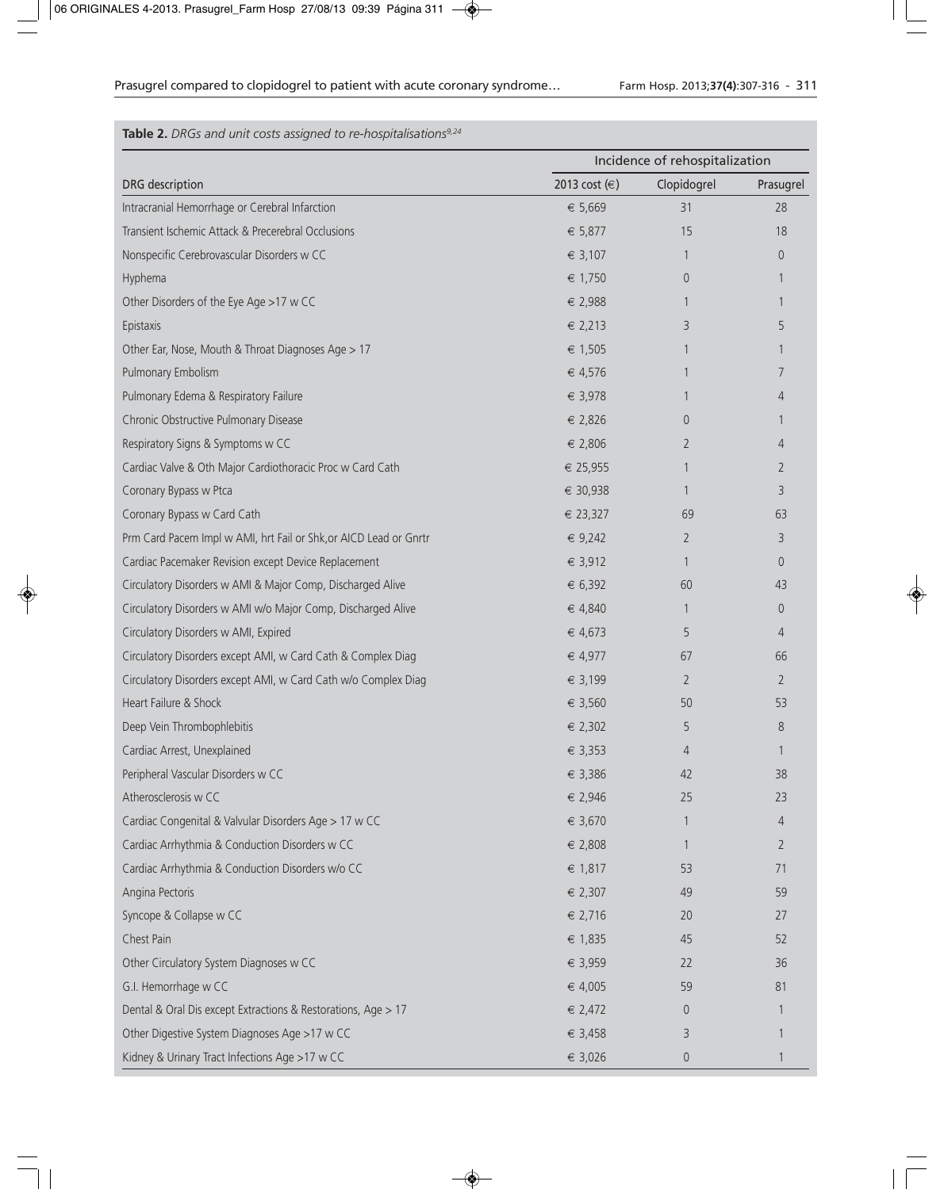## **Table 2.** *DRGs and unit costs assigned to re-hospitalisations9,24*

|                                                                   | Incidence of rehospitalization |                |                |
|-------------------------------------------------------------------|--------------------------------|----------------|----------------|
| DRG description                                                   | 2013 cost (€)                  | Clopidogrel    | Prasugrel      |
| Intracranial Hemorrhage or Cerebral Infarction                    | € 5,669                        | 31             | 28             |
| Transient Ischemic Attack & Precerebral Occlusions                | € 5,877                        | 15             | 18             |
| Nonspecific Cerebrovascular Disorders w CC                        | € 3,107                        | 1              | $\theta$       |
| Hyphema                                                           | € 1,750                        | $\overline{0}$ | 1              |
| Other Disorders of the Eye Age >17 w CC                           | € 2,988                        | 1              | 1              |
| Epistaxis                                                         | € 2,213                        | 3              | 5              |
| Other Ear, Nose, Mouth & Throat Diagnoses Age > 17                | € 1,505                        | 1              |                |
| Pulmonary Embolism                                                | € 4,576                        | 1              | 7              |
| Pulmonary Edema & Respiratory Failure                             | € 3,978                        | 1              | 4              |
| Chronic Obstructive Pulmonary Disease                             | € 2,826                        | $\theta$       | 1              |
| Respiratory Signs & Symptoms w CC                                 | € 2,806                        | 2              | 4              |
| Cardiac Valve & Oth Major Cardiothoracic Proc w Card Cath         | € 25,955                       | 1              | 2              |
| Coronary Bypass w Ptca                                            | € 30,938                       | $\mathbf{1}$   | 3              |
| Coronary Bypass w Card Cath                                       | € 23,327                       | 69             | 63             |
| Prm Card Pacem Impl w AMI, hrt Fail or Shk, or AICD Lead or Gnrtr | € 9,242                        | 2              | 3              |
| Cardiac Pacemaker Revision except Device Replacement              | € 3,912                        | 1              | $\overline{0}$ |
| Circulatory Disorders w AMI & Major Comp, Discharged Alive        | € 6,392                        | 60             | 43             |
| Circulatory Disorders w AMI w/o Major Comp, Discharged Alive      | € 4,840                        | 1              | $\overline{0}$ |
| Circulatory Disorders w AMI, Expired                              | € 4,673                        | 5              | 4              |
| Circulatory Disorders except AMI, w Card Cath & Complex Diag      | € 4,977                        | 67             | 66             |
| Circulatory Disorders except AMI, w Card Cath w/o Complex Diag    | € 3,199                        | $\overline{2}$ | $\overline{2}$ |
| Heart Failure & Shock                                             | € 3,560                        | 50             | 53             |
| Deep Vein Thrombophlebitis                                        | $\epsilon$ 2,302               | 5              | 8              |
| Cardiac Arrest, Unexplained                                       | € 3,353                        | 4              | 1              |
| Peripheral Vascular Disorders w CC                                | € 3,386                        | 42             | 38             |
| Atherosclerosis w CC                                              | € 2,946                        | 25             | 23             |
| Cardiac Congenital & Valvular Disorders Age > 17 w CC             | € 3,670                        | 1              | $\overline{4}$ |
| Cardiac Arrhythmia & Conduction Disorders w CC                    | € 2,808                        | 1              | $\overline{2}$ |
| Cardiac Arrhythmia & Conduction Disorders w/o CC                  | € 1,817                        | 53             | 71             |
| Angina Pectoris                                                   | € 2,307                        | 49             | 59             |
| Syncope & Collapse w CC                                           | € 2,716                        | 20             | 27             |
| Chest Pain                                                        | € 1,835                        | 45             | 52             |
| Other Circulatory System Diagnoses w CC                           | € 3,959                        | 22             | 36             |
| G.I. Hemorrhage w CC                                              | € 4,005                        | 59             | 81             |
| Dental & Oral Dis except Extractions & Restorations, Age > 17     | $\in$ 2,472                    | $\theta$       | 1              |
| Other Digestive System Diagnoses Age >17 w CC                     | € 3,458                        | 3              |                |
| Kidney & Urinary Tract Infections Age >17 w CC                    | € 3,026                        | $\theta$       | 1              |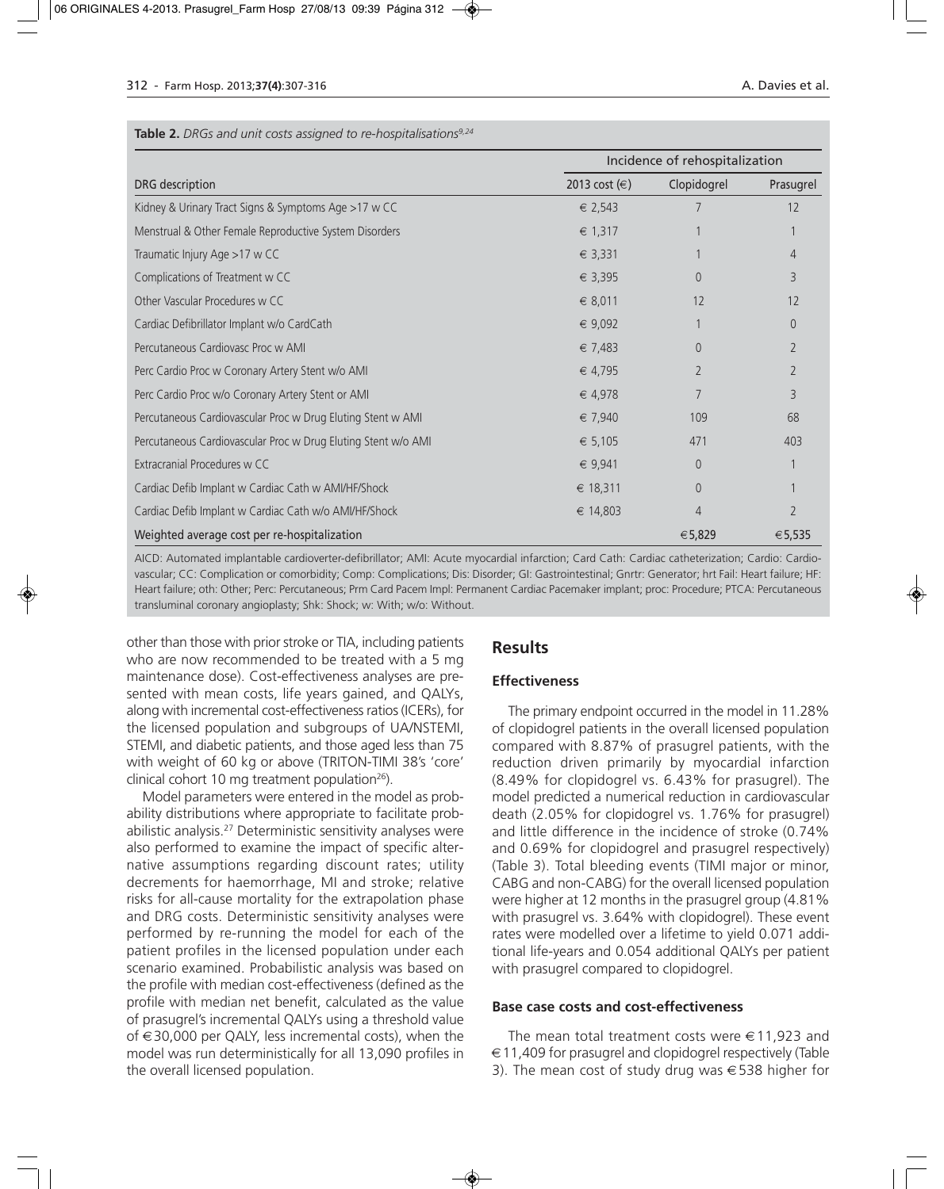## Incidence of rehospitalization DRG description 2013 cost (€) Clopidogrel Prasugrel Kidney & Urinary Tract Signs & Symptoms Age >17 w CC  $\epsilon$  2,543  $\epsilon$  2,543 7 12 Menstrual & Other Female Reproductive System Disorders € 1,317 1 1 Traumatic Injury Age >17 w CC  $\epsilon$  3,331  $\epsilon$  1  $\epsilon$ Complications of Treatment w CC  $\epsilon$  3,395 0 3 Other Vascular Procedures w CC  $\epsilon$  8.011 12 12 12 Cardiac Defibrillator Implant w/o CardCath € 9,092 1 0 Percutaneous Cardiovasc Proc w AMI  $\epsilon$  7,483 0 2 Perc Cardio Proc w Coronary Artery Stent w/o AMI € 4,795 2 2 Perc Cardio Proc w/o Coronary Artery Stent or AMI  $\epsilon$  4,978  $\epsilon$  4,978  $\epsilon$  3 Percutaneous Cardiovascular Proc w Drug Eluting Stent w AMI 68 and 50 € 7,940 109 109 68 Percutaneous Cardiovascular Proc w Drug Eluting Stent w/o AMI <del>€</del> 5,105 471 403  $\exists$  Extracranial Procedures w CC  $\exists$  1 Cardiac Defib Implant w Cardiac Cath w AMI/HF/Shock  $\epsilon$  18,311 0 1 Cardiac Defib Implant w Cardiac Cath w/o AMI/HF/Shock  $\epsilon$  14,803 4 2 2 Weighted average cost per re-hospitalization  $\epsilon$ 5,535  $\epsilon$ 5,535  $\epsilon$ 5,535  $\epsilon$ 5,535

AICD: Automated implantable cardioverter-defibrillator; AMI: Acute myocardial infarction; Card Cath: Cardiac catheterization; Cardio: Cardiovascular; CC: Complication or comorbidity; Comp: Complications; Dis: Disorder; GI: Gastrointestinal; Gnrtr: Generator; hrt Fail: Heart failure; HF: Heart failure; oth: Other; Perc: Percutaneous; Prm Card Pacem Impl: Permanent Cardiac Pacemaker implant; proc: Procedure; PTCA: Percutaneous transluminal coronary angioplasty; Shk: Shock; w: With; w/o: Without.

other than those with prior stroke or TIA, including patients who are now recommended to be treated with a 5 mg maintenance dose). Cost-effectiveness analyses are presented with mean costs, life years gained, and QALYs, along with incremental cost-effectiveness ratios (ICERs), for the licensed population and subgroups of UA/NSTEMI, STEMI, and diabetic patients, and those aged less than 75 with weight of 60 kg or above (TRITON-TIMI 38's 'core' clinical cohort 10 mg treatment population<sup>26</sup>).

Model parameters were entered in the model as probability distributions where appropriate to facilitate probabilistic analysis.27 Deterministic sensitivity analyses were also performed to examine the impact of specific alternative assumptions regarding discount rates; utility decrements for haemorrhage, MI and stroke; relative risks for all-cause mortality for the extrapolation phase and DRG costs. Deterministic sensitivity analyses were performed by re-running the model for each of the patient profiles in the licensed population under each scenario examined. Probabilistic analysis was based on the profile with median cost-effectiveness (defined as the profile with median net benefit, calculated as the value of prasugrel's incremental QALYs using a threshold value of  $∈30,000$  per QALY, less incremental costs), when the model was run deterministically for all 13,090 profiles in the overall licensed population.

## **Results**

## **Effectiveness**

The primary endpoint occurred in the model in 11.28% of clopidogrel patients in the overall licensed population compared with 8.87% of prasugrel patients, with the reduction driven primarily by myocardial infarction (8.49% for clopidogrel vs. 6.43% for prasugrel). The model predicted a numerical reduction in cardiovascular death (2.05% for clopidogrel vs. 1.76% for prasugrel) and little difference in the incidence of stroke (0.74% and 0.69% for clopidogrel and prasugrel respectively) (Table 3). Total bleeding events (TIMI major or minor, CABG and non-CABG) for the overall licensed population were higher at 12 months in the prasugrel group (4.81% with prasugrel vs. 3.64% with clopidogrel). These event rates were modelled over a lifetime to yield 0.071 additional life-years and 0.054 additional QALYs per patient with prasugrel compared to clopidogrel.

## **Base case costs and cost-effectiveness**

The mean total treatment costs were  $\in$  11,923 and  $\epsilon$  11,409 for prasugrel and clopidogrel respectively (Table 3). The mean cost of study drug was €538 higher for

#### **Table 2.** *DRGs and unit costs assigned to re-hospitalisations9,24*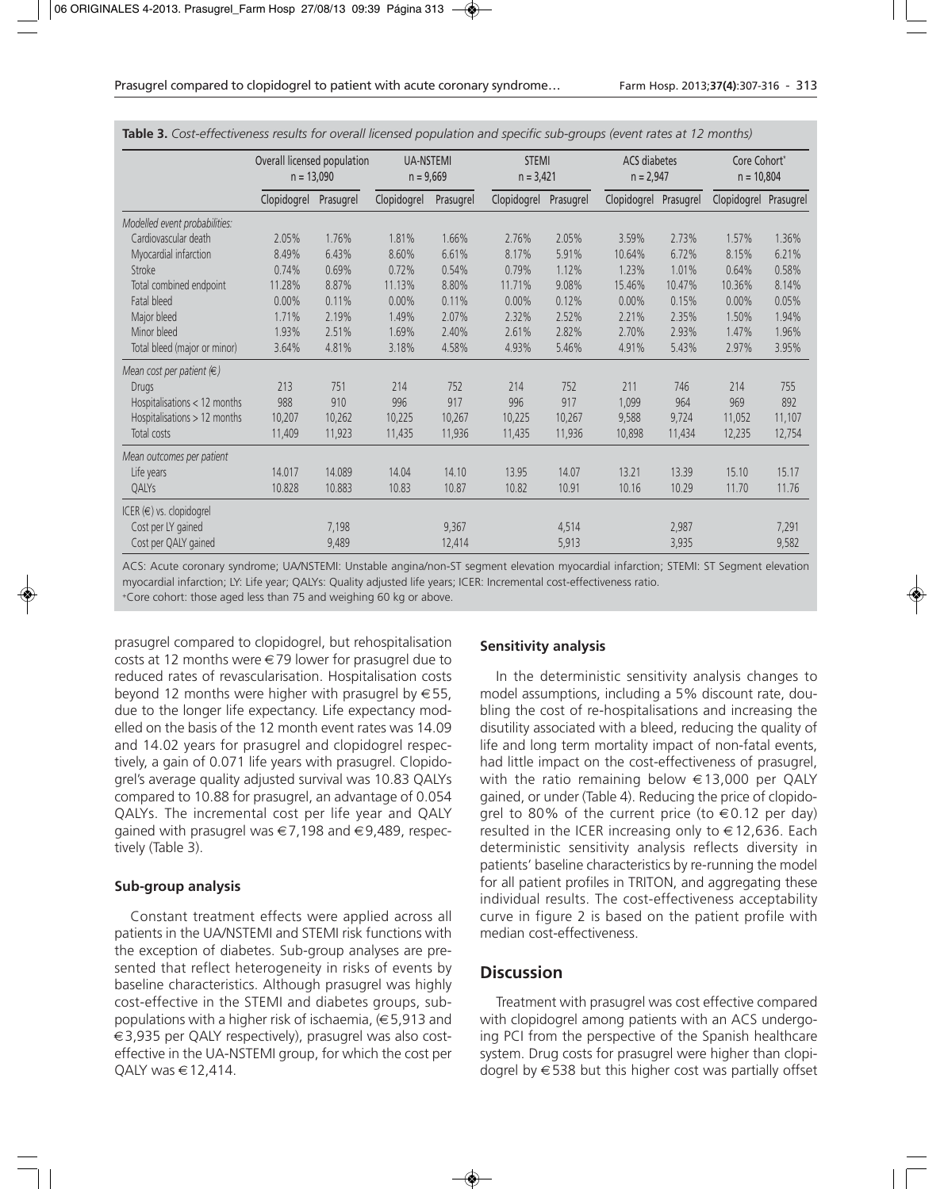|                                    | Overall licensed population<br>$n = 13,090$ |           | <b>UA-NSTEMI</b><br>$n = 9,669$ |           | <b>STEMI</b><br>$n = 3,421$ |           | ACS diabetes<br>$n = 2,947$ |           | Core Cohort*<br>$n = 10,804$ |        |
|------------------------------------|---------------------------------------------|-----------|---------------------------------|-----------|-----------------------------|-----------|-----------------------------|-----------|------------------------------|--------|
|                                    | Clopidogrel                                 | Prasugrel | Clopidogrel                     | Prasugrel | Clopidogrel                 | Prasugrel | Clopidogrel                 | Prasugrel | Clopidogrel Prasugrel        |        |
| Modelled event probabilities:      |                                             |           |                                 |           |                             |           |                             |           |                              |        |
| Cardiovascular death               | 2.05%                                       | 1.76%     | 1.81%                           | 1.66%     | 2.76%                       | 2.05%     | 3.59%                       | 2.73%     | 1.57%                        | 1.36%  |
| Myocardial infarction              | 8.49%                                       | 6.43%     | 8.60%                           | 6.61%     | 8.17%                       | 5.91%     | 10.64%                      | 6.72%     | 8.15%                        | 6.21%  |
| Stroke                             | 0.74%                                       | 0.69%     | 0.72%                           | 0.54%     | 0.79%                       | 1.12%     | 1.23%                       | 1.01%     | 0.64%                        | 0.58%  |
| Total combined endpoint            | 11.28%                                      | 8.87%     | 11.13%                          | 8.80%     | 11.71%                      | 9.08%     | 15.46%                      | 10.47%    | 10.36%                       | 8.14%  |
| Fatal bleed                        | 0.00%                                       | 0.11%     | 0.00%                           | 0.11%     | 0.00%                       | 0.12%     | 0.00%                       | 0.15%     | 0.00%                        | 0.05%  |
| Major bleed                        | 1.71%                                       | 2.19%     | 1.49%                           | 2.07%     | 2.32%                       | 2.52%     | 2.21%                       | 2.35%     | 1.50%                        | 1.94%  |
| Minor bleed                        | 1.93%                                       | 2.51%     | 1.69%                           | 2.40%     | 2.61%                       | 2.82%     | 2.70%                       | 2.93%     | 1.47%                        | 1.96%  |
| Total bleed (major or minor)       | 3.64%                                       | 4.81%     | 3.18%                           | 4.58%     | 4.93%                       | 5.46%     | 4.91%                       | 5.43%     | 2.97%                        | 3.95%  |
| Mean cost per patient $(\epsilon)$ |                                             |           |                                 |           |                             |           |                             |           |                              |        |
| Drugs                              | 213                                         | 751       | 214                             | 752       | 214                         | 752       | 211                         | 746       | 214                          | 755    |
| Hospitalisations < 12 months       | 988                                         | 910       | 996                             | 917       | 996                         | 917       | 1,099                       | 964       | 969                          | 892    |
| Hospitalisations > 12 months       | 10,207                                      | 10,262    | 10,225                          | 10,267    | 10,225                      | 10,267    | 9,588                       | 9,724     | 11,052                       | 11,107 |
| Total costs                        | 11,409                                      | 11,923    | 11,435                          | 11,936    | 11,435                      | 11,936    | 10,898                      | 11,434    | 12,235                       | 12,754 |
| Mean outcomes per patient          |                                             |           |                                 |           |                             |           |                             |           |                              |        |
| Life years                         | 14.017                                      | 14.089    | 14.04                           | 14.10     | 13.95                       | 14.07     | 13.21                       | 13.39     | 15.10                        | 15.17  |
| QALYS                              | 10.828                                      | 10.883    | 10.83                           | 10.87     | 10.82                       | 10.91     | 10.16                       | 10.29     | 11.70                        | 11.76  |
| ICER $(\epsilon)$ vs. clopidogrel  |                                             |           |                                 |           |                             |           |                             |           |                              |        |
| Cost per LY gained                 |                                             | 7,198     |                                 | 9,367     |                             | 4,514     |                             | 2,987     |                              | 7,291  |
| Cost per QALY gained               |                                             | 9,489     |                                 | 12,414    |                             | 5,913     |                             | 3,935     |                              | 9,582  |

**Table 3.** *Cost-effectiveness results for overall licensed population and specific sub-groups (event rates at 12 months)*

ACS: Acute coronary syndrome; UA/NSTEMI: Unstable angina/non-ST segment elevation myocardial infarction; STEMI: ST Segment elevation myocardial infarction; LY: Life year; QALYs: Quality adjusted life years; ICER: Incremental cost-effectiveness ratio.

+Core cohort: those aged less than 75 and weighing 60 kg or above.

prasugrel compared to clopidogrel, but rehospitalisation costs at 12 months were €79 lower for prasugrel due to reduced rates of revascularisation. Hospitalisation costs beyond 12 months were higher with prasugrel by  $\in$  55, due to the longer life expectancy. Life expectancy modelled on the basis of the 12 month event rates was 14.09 and 14.02 years for prasugrel and clopidogrel respectively, a gain of 0.071 life years with prasugrel. Clopidogrel's average quality adjusted survival was 10.83 QALYs compared to 10.88 for prasugrel, an advantage of 0.054 QALYs. The incremental cost per life year and QALY gained with prasugrel was €7,198 and €9,489, respectively (Table 3).

#### **Sub-group analysis**

Constant treatment effects were applied across all patients in the UA/NSTEMI and STEMI risk functions with the exception of diabetes. Sub-group analyses are presented that reflect heterogeneity in risks of events by baseline characteristics. Although prasugrel was highly cost-effective in the STEMI and diabetes groups, subpopulations with a higher risk of ischaemia,  $(\in 5,913$  and €3,935 per QALY respectively), prasugrel was also costeffective in the UA-NSTEMI group, for which the cost per QALY was  $\in$  12,414.

#### **Sensitivity analysis**

In the deterministic sensitivity analysis changes to model assumptions, including a 5% discount rate, doubling the cost of re-hospitalisations and increasing the disutility associated with a bleed, reducing the quality of life and long term mortality impact of non-fatal events, had little impact on the cost-effectiveness of prasugrel, with the ratio remaining below €13,000 per QALY gained, or under (Table 4). Reducing the price of clopidogrel to 80% of the current price (to  $\in$  0.12 per day) resulted in the ICER increasing only to  $\in$  12,636. Each deterministic sensitivity analysis reflects diversity in patients' baseline characteristics by re-running the model for all patient profiles in TRITON, and aggregating these individual results. The cost-effectiveness acceptability curve in figure 2 is based on the patient profile with median cost-effectiveness.

## **Discussion**

Treatment with prasugrel was cost effective compared with clopidogrel among patients with an ACS undergoing PCI from the perspective of the Spanish healthcare system. Drug costs for prasugrel were higher than clopidogrel by  $\in$  538 but this higher cost was partially offset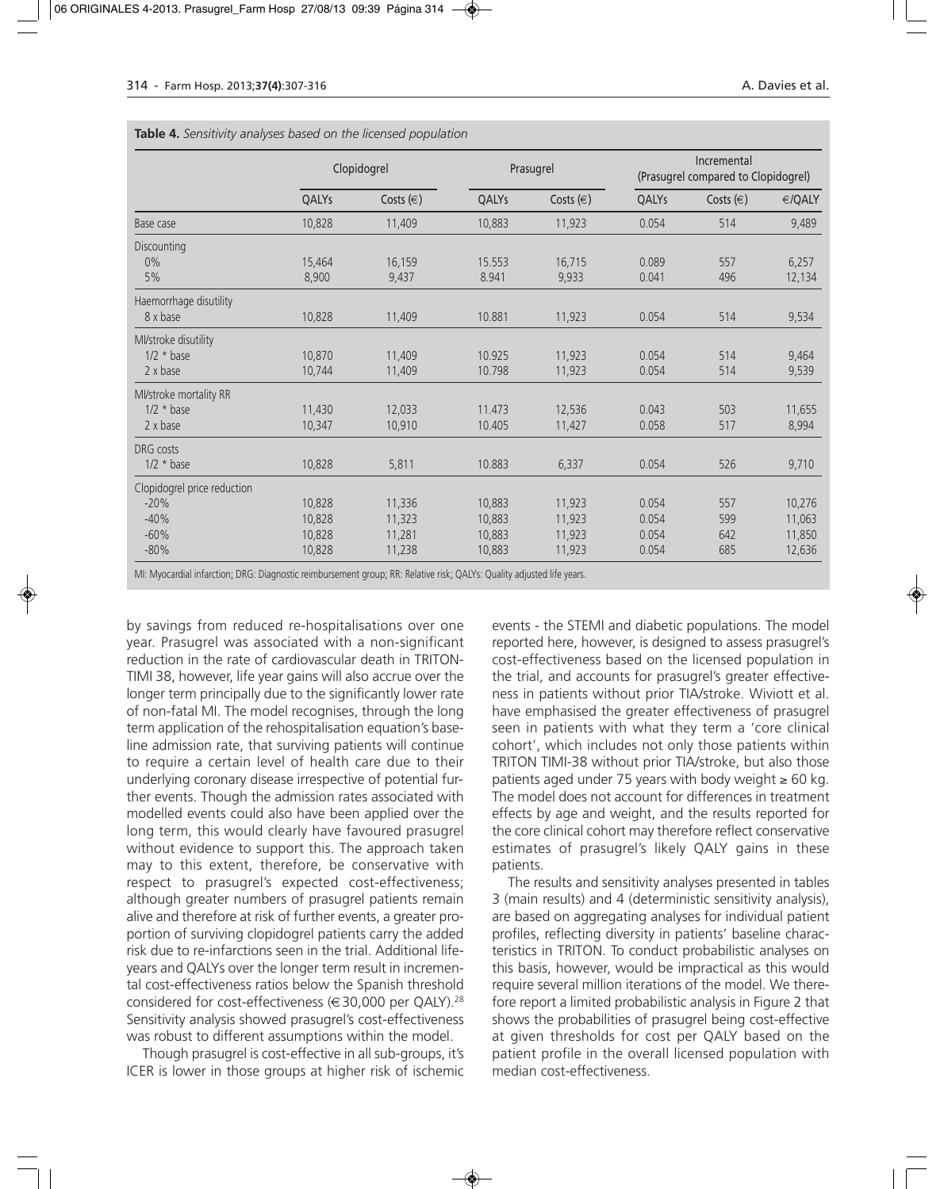|                             | Clopidogrel |               |        | Prasugrel     | Incremental<br>(Prasugrel compared to Clopidogrel) |               |        |
|-----------------------------|-------------|---------------|--------|---------------|----------------------------------------------------|---------------|--------|
|                             | QALYs       | Costs $(\in)$ | QALYs  | Costs $(\in)$ | QALYs                                              | Costs $(\in)$ | €/QALY |
| Base case                   | 10,828      | 11,409        | 10,883 | 11,923        | 0.054                                              | 514           | 9,489  |
| Discounting                 |             |               |        |               |                                                    |               |        |
| $0\%$                       | 15,464      | 16,159        | 15.553 | 16,715        | 0.089                                              | 557           | 6,257  |
| 5%                          | 8,900       | 9,437         | 8.941  | 9,933         | 0.041                                              | 496           | 12,134 |
| Haemorrhage disutility      |             |               |        |               |                                                    |               |        |
| 8 x base                    | 10,828      | 11,409        | 10.881 | 11,923        | 0.054                                              | 514           | 9,534  |
| Ml/stroke disutility        |             |               |        |               |                                                    |               |        |
| $1/2 * base$                | 10,870      | 11,409        | 10.925 | 11,923        | 0.054                                              | 514           | 9,464  |
| $2 \times \text{base}$      | 10,744      | 11,409        | 10.798 | 11,923        | 0.054                                              | 514           | 9,539  |
| MI/stroke mortality RR      |             |               |        |               |                                                    |               |        |
| $1/2 * base$                | 11,430      | 12,033        | 11.473 | 12,536        | 0.043                                              | 503           | 11,655 |
| $2 \times \text{base}$      | 10,347      | 10,910        | 10.405 | 11,427        | 0.058                                              | 517           | 8,994  |
| DRG costs                   |             |               |        |               |                                                    |               |        |
| $1/2 * base$                | 10,828      | 5,811         | 10.883 | 6,337         | 0.054                                              | 526           | 9,710  |
| Clopidogrel price reduction |             |               |        |               |                                                    |               |        |
| $-20%$                      | 10,828      | 11,336        | 10,883 | 11,923        | 0.054                                              | 557           | 10,276 |
| $-40%$                      | 10,828      | 11,323        | 10,883 | 11,923        | 0.054                                              | 599           | 11,063 |
| $-60%$                      | 10,828      | 11,281        | 10,883 | 11,923        | 0.054                                              | 642           | 11,850 |
| $-80%$                      | 10,828      | 11,238        | 10,883 | 11,923        | 0.054                                              | 685           | 12,636 |

**Table 4.** *Sensitivity analyses based on the licensed population*

MI: Myocardial infarction; DRG: Diagnostic reimbursement group; RR: Relative risk; QALYs: Quality adjusted life years.

by savings from reduced re-hospitalisations over one year. Prasugrel was associated with a non-significant reduction in the rate of cardiovascular death in TRITON-TIMI 38, however, life year gains will also accrue over the longer term principally due to the significantly lower rate of non-fatal MI. The model recognises, through the long term application of the rehospitalisation equation's baseline admission rate, that surviving patients will continue to require a certain level of health care due to their underlying coronary disease irrespective of potential further events. Though the admission rates associated with modelled events could also have been applied over the long term, this would clearly have favoured prasugrel without evidence to support this. The approach taken may to this extent, therefore, be conservative with respect to prasugrel's expected cost-effectiveness; although greater numbers of prasugrel patients remain alive and therefore at risk of further events, a greater proportion of surviving clopidogrel patients carry the added risk due to re-infarctions seen in the trial. Additional lifeyears and QALYs over the longer term result in incremental cost-effectiveness ratios below the Spanish threshold considered for cost-effectiveness ( $\in$  30,000 per QALY).<sup>28</sup> Sensitivity analysis showed prasugrel's cost-effectiveness was robust to different assumptions within the model.

Though prasugrel is cost-effective in all sub-groups, it's ICER is lower in those groups at higher risk of ischemic events - the STEMI and diabetic populations. The model reported here, however, is designed to assess prasugrel's cost-effectiveness based on the licensed population in the trial, and accounts for prasugrel's greater effectiveness in patients without prior TIA/stroke. Wiviott et al. have emphasised the greater effectiveness of prasugrel seen in patients with what they term a 'core clinical cohort', which includes not only those patients within TRITON TIMI-38 without prior TIA/stroke, but also those patients aged under 75 years with body weight  $≥ 60$  kg. The model does not account for differences in treatment effects by age and weight, and the results reported for the core clinical cohort may therefore reflect conservative estimates of prasugrel's likely QALY gains in these patients.

The results and sensitivity analyses presented in tables 3 (main results) and 4 (deterministic sensitivity analysis), are based on aggregating analyses for individual patient profiles, reflecting diversity in patients' baseline characteristics in TRITON. To conduct probabilistic analyses on this basis, however, would be impractical as this would require several million iterations of the model. We therefore report a limited probabilistic analysis in Figure 2 that shows the probabilities of prasugrel being cost-effective at given thresholds for cost per QALY based on the patient profile in the overall licensed population with median cost-effectiveness.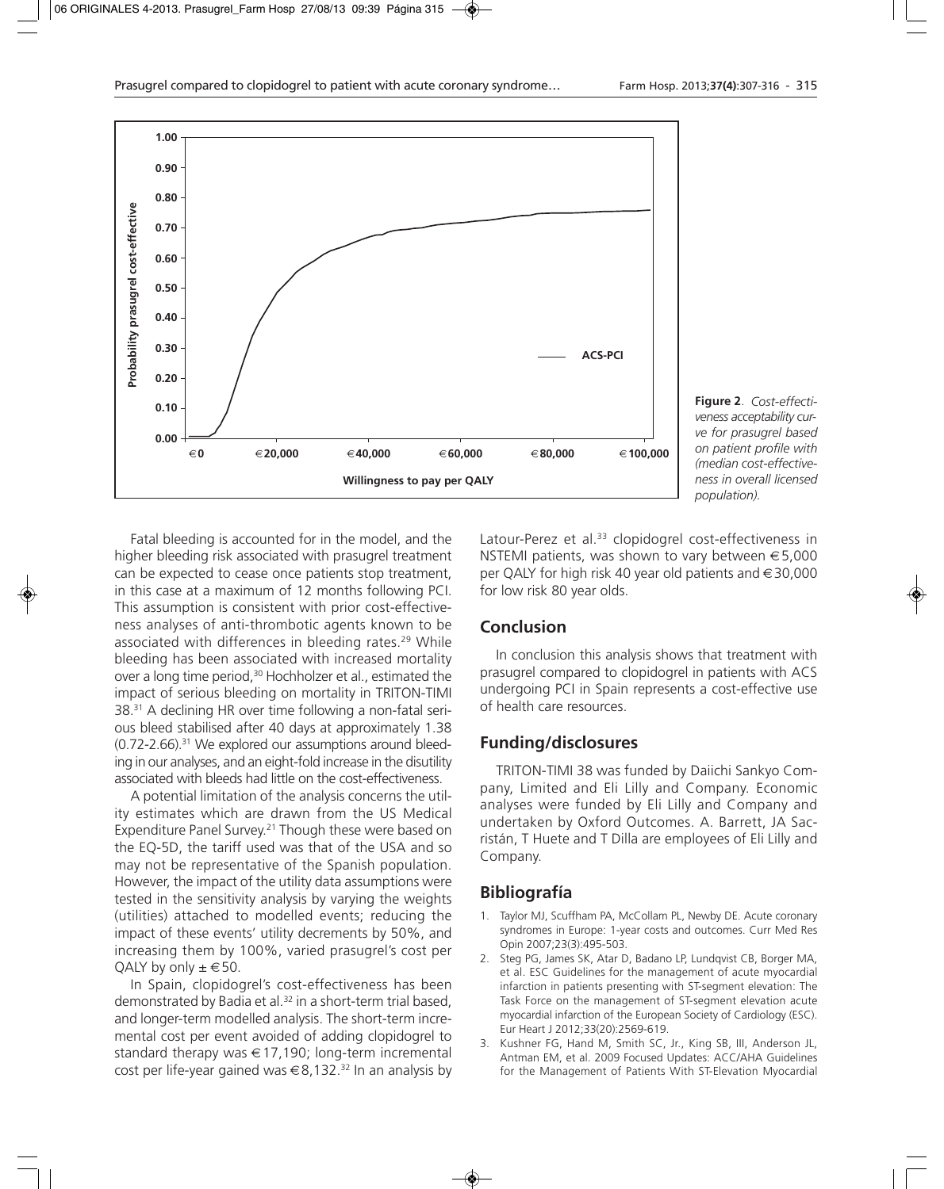

**Figure 2**. *Cost-effectiveness acceptability curve for prasugrel based on patient profile with (median cost-effectiveness in overall licensed population).*

Fatal bleeding is accounted for in the model, and the higher bleeding risk associated with prasugrel treatment can be expected to cease once patients stop treatment, in this case at a maximum of 12 months following PCI. This assumption is consistent with prior cost-effectiveness analyses of anti-thrombotic agents known to be associated with differences in bleeding rates.<sup>29</sup> While bleeding has been associated with increased mortality over a long time period,<sup>30</sup> Hochholzer et al., estimated the impact of serious bleeding on mortality in TRITON-TIMI 38.31 A declining HR over time following a non-fatal serious bleed stabilised after 40 days at approximately 1.38  $(0.72$ -2.66).<sup>31</sup> We explored our assumptions around bleeding in our analyses, and an eight-fold increase in the disutility associated with bleeds had little on the cost-effectiveness.

A potential limitation of the analysis concerns the utility estimates which are drawn from the US Medical Expenditure Panel Survey.<sup>21</sup> Though these were based on the EQ-5D, the tariff used was that of the USA and so may not be representative of the Spanish population. However, the impact of the utility data assumptions were tested in the sensitivity analysis by varying the weights (utilities) attached to modelled events; reducing the impact of these events' utility decrements by 50%, and increasing them by 100%, varied prasugrel's cost per QALY by only  $\pm \in 50$ .

In Spain, clopidogrel's cost-effectiveness has been demonstrated by Badia et al.<sup>32</sup> in a short-term trial based, and longer-term modelled analysis. The short-term incremental cost per event avoided of adding clopidogrel to standard therapy was €17,190; long-term incremental cost per life-year gained was  $\in 8,132$ .<sup>32</sup> In an analysis by Latour-Perez et al.<sup>33</sup> clopidogrel cost-effectiveness in NSTEMI patients, was shown to vary between €5,000 per QALY for high risk 40 year old patients and €30,000 for low risk 80 year olds.

## **Conclusion**

In conclusion this analysis shows that treatment with prasugrel compared to clopidogrel in patients with ACS undergoing PCI in Spain represents a cost-effective use of health care resources.

## **Funding/disclosures**

TRITON-TIMI 38 was funded by Daiichi Sankyo Company, Limited and Eli Lilly and Company. Economic analyses were funded by Eli Lilly and Company and undertaken by Oxford Outcomes. A. Barrett, JA Sacristán, T Huete and T Dilla are employees of Eli Lilly and Company.

## **Bibliografía**

- 1. Taylor MJ, Scuffham PA, McCollam PL, Newby DE. Acute coronary syndromes in Europe: 1-year costs and outcomes. Curr Med Res Opin 2007;23(3):495-503.
- 2. Steg PG, James SK, Atar D, Badano LP, Lundqvist CB, Borger MA, et al. ESC Guidelines for the management of acute myocardial infarction in patients presenting with ST-segment elevation: The Task Force on the management of ST-segment elevation acute myocardial infarction of the European Society of Cardiology (ESC). Eur Heart J 2012;33(20):2569-619.
- 3. Kushner FG, Hand M, Smith SC, Jr., King SB, III, Anderson JL, Antman EM, et al. 2009 Focused Updates: ACC/AHA Guidelines for the Management of Patients With ST-Elevation Myocardial